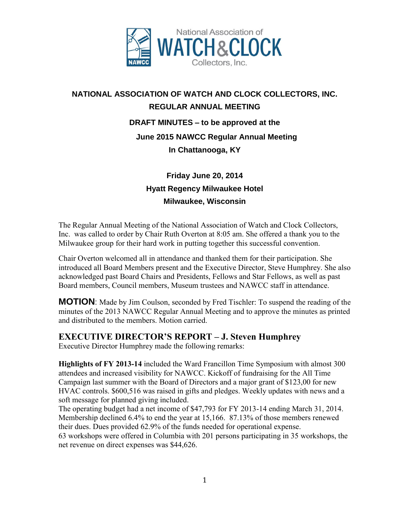

# **NATIONAL ASSOCIATION OF WATCH AND CLOCK COLLECTORS, INC. REGULAR ANNUAL MEETING DRAFT MINUTES** – **to be approved at the June 2015 NAWCC Regular Annual Meeting In Chattanooga, KY**

## **Friday June 20, 2014 Hyatt Regency Milwaukee Hotel Milwaukee, Wisconsin**

The Regular Annual Meeting of the National Association of Watch and Clock Collectors, Inc. was called to order by Chair Ruth Overton at 8:05 am. She offered a thank you to the Milwaukee group for their hard work in putting together this successful convention.

Chair Overton welcomed all in attendance and thanked them for their participation. She introduced all Board Members present and the Executive Director, Steve Humphrey. She also acknowledged past Board Chairs and Presidents, Fellows and Star Fellows, as well as past Board members, Council members, Museum trustees and NAWCC staff in attendance.

**MOTION**: Made by Jim Coulson, seconded by Fred Tischler: To suspend the reading of the minutes of the 2013 NAWCC Regular Annual Meeting and to approve the minutes as printed and distributed to the members. Motion carried.

### **EXECUTIVE DIRECTOR'S REPORT – J. Steven Humphrey**

Executive Director Humphrey made the following remarks:

**Highlights of FY 2013-14** included the Ward Francillon Time Symposium with almost 300 attendees and increased visibility for NAWCC. Kickoff of fundraising for the All Time Campaign last summer with the Board of Directors and a major grant of \$123,00 for new HVAC controls. \$600,516 was raised in gifts and pledges. Weekly updates with news and a soft message for planned giving included.

The operating budget had a net income of \$47,793 for FY 2013-14 ending March 31, 2014. Membership declined 6.4% to end the year at 15,166. 87.13% of those members renewed their dues. Dues provided 62.9% of the funds needed for operational expense. 63 workshops were offered in Columbia with 201 persons participating in 35 workshops, the net revenue on direct expenses was \$44,626.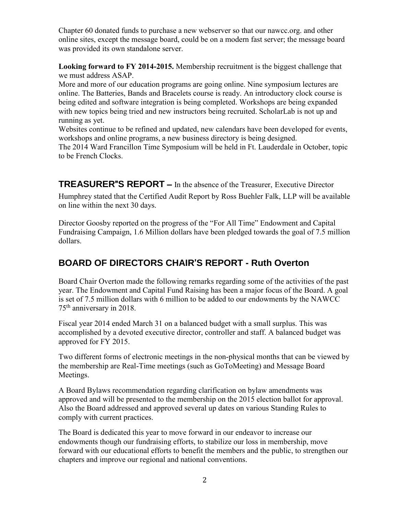Chapter 60 donated funds to purchase a new webserver so that our nawcc.org. and other online sites, except the message board, could be on a modern fast server; the message board was provided its own standalone server.

**Looking forward to FY 2014-2015.** Membership recruitment is the biggest challenge that we must address ASAP.

More and more of our education programs are going online. Nine symposium lectures are online. The Batteries, Bands and Bracelets course is ready. An introductory clock course is being edited and software integration is being completed. Workshops are being expanded with new topics being tried and new instructors being recruited. ScholarLab is not up and running as yet.

Websites continue to be refined and updated, new calendars have been developed for events, workshops and online programs, a new business directory is being designed.

The 2014 Ward Francillon Time Symposium will be held in Ft. Lauderdale in October, topic to be French Clocks.

**TREASURER**"**S REPORT** – In the absence of the Treasurer, Executive Director

Humphrey stated that the Certified Audit Report by Ross Buehler Falk, LLP will be available on line within the next 30 days.

Director Goosby reported on the progress of the "For All Time" Endowment and Capital Fundraising Campaign, 1.6 Million dollars have been pledged towards the goal of 7.5 million dollars.

## **BOARD OF DIRECTORS CHAIR**'**S REPORT - Ruth Overton**

Board Chair Overton made the following remarks regarding some of the activities of the past year. The Endowment and Capital Fund Raising has been a major focus of the Board. A goal is set of 7.5 million dollars with 6 million to be added to our endowments by the NAWCC 75th anniversary in 2018.

Fiscal year 2014 ended March 31 on a balanced budget with a small surplus. This was accomplished by a devoted executive director, controller and staff. A balanced budget was approved for FY 2015.

Two different forms of electronic meetings in the non-physical months that can be viewed by the membership are Real-Time meetings (such as GoToMeeting) and Message Board Meetings.

A Board Bylaws recommendation regarding clarification on bylaw amendments was approved and will be presented to the membership on the 2015 election ballot for approval. Also the Board addressed and approved several up dates on various Standing Rules to comply with current practices.

The Board is dedicated this year to move forward in our endeavor to increase our endowments though our fundraising efforts, to stabilize our loss in membership, move forward with our educational efforts to benefit the members and the public, to strengthen our chapters and improve our regional and national conventions.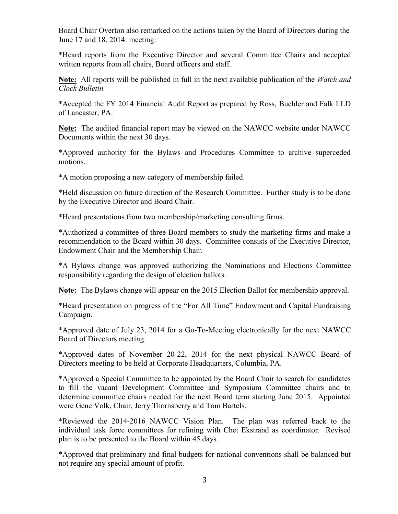Board Chair Overton also remarked on the actions taken by the Board of Directors during the June 17 and 18, 2014: meeting:

\*Heard reports from the Executive Director and several Committee Chairs and accepted written reports from all chairs, Board officers and staff.

**Note:** All reports will be published in full in the next available publication of the *Watch and Clock Bulletin.*

\*Accepted the FY 2014 Financial Audit Report as prepared by Ross, Buehler and Falk LLD of Lancaster, PA.

**Note:** The audited financial report may be viewed on the NAWCC website under NAWCC Documents within the next 30 days.

\*Approved authority for the Bylaws and Procedures Committee to archive superceded motions.

\*A motion proposing a new category of membership failed.

\*Held discussion on future direction of the Research Committee. Further study is to be done by the Executive Director and Board Chair.

\*Heard presentations from two membership/marketing consulting firms.

\*Authorized a committee of three Board members to study the marketing firms and make a recommendation to the Board within 30 days. Committee consists of the Executive Director, Endowment Chair and the Membership Chair.

\*A Bylaws change was approved authorizing the Nominations and Elections Committee responsibility regarding the design of election ballots.

**Note:** The Bylaws change will appear on the 2015 Election Ballot for membership approval.

\*Heard presentation on progress of the "For All Time" Endowment and Capital Fundraising Campaign.

\*Approved date of July 23, 2014 for a Go-To-Meeting electronically for the next NAWCC Board of Directors meeting.

\*Approved dates of November 20-22, 2014 for the next physical NAWCC Board of Directors meeting to be held at Corporate Headquarters, Columbia, PA.

\*Approved a Special Committee to be appointed by the Board Chair to search for candidates to fill the vacant Development Committee and Symposium Committee chairs and to determine committee chairs needed for the next Board term starting June 2015. Appointed were Gene Volk, Chair, Jerry Thornsberry and Tom Bartels.

\*Reviewed the 2014-2016 NAWCC Vision Plan. The plan was referred back to the individual task force committees for refining with Chet Ekstrand as coordinator. Revised plan is to be presented to the Board within 45 days.

\*Approved that preliminary and final budgets for national conventions shall be balanced but not require any special amount of profit.